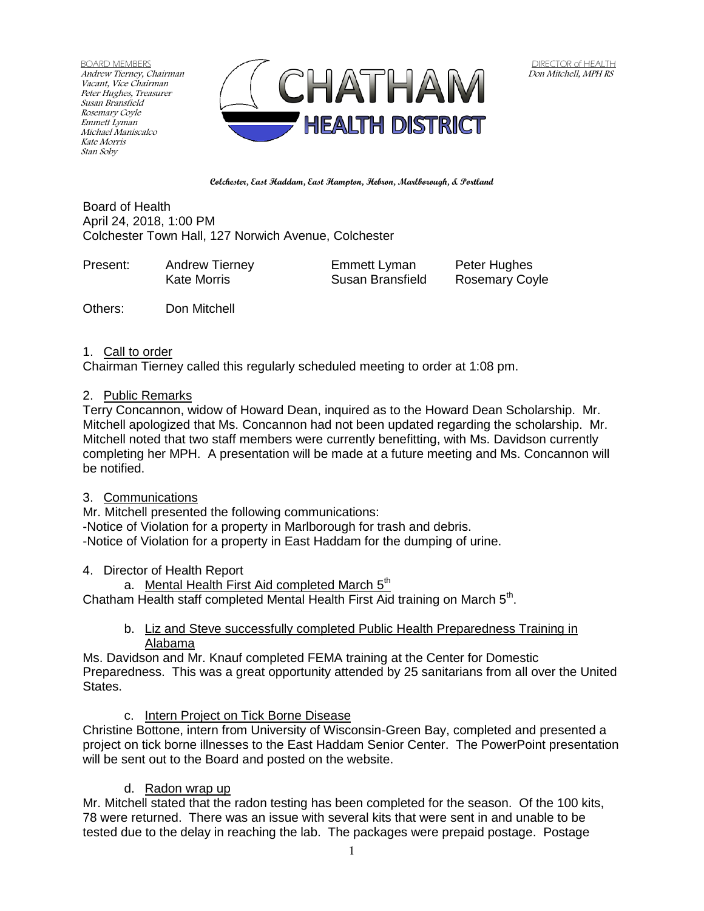BOARD MEMBERS Andrew Tierney, Chairman Vacant, Vice Chairman Peter Hughes, Treasurer Susan Bransfield Rosemary Coyle Emmett Lyman Michael Maniscalco Kate Morris Stan Soby



**Colchester, East Haddam, East Hampton, Hebron, Marlborough, & Portland**

Board of Health April 24, 2018, 1:00 PM Colchester Town Hall, 127 Norwich Avenue, Colchester

| Present: | <b>Andrew Tierney</b> | Emmett Lyman     | Peter Hughes          |
|----------|-----------------------|------------------|-----------------------|
|          | Kate Morris           | Susan Bransfield | <b>Rosemary Coyle</b> |
|          |                       |                  |                       |

Others: Don Mitchell

### 1. Call to order

Chairman Tierney called this regularly scheduled meeting to order at 1:08 pm.

## 2. Public Remarks

Terry Concannon, widow of Howard Dean, inquired as to the Howard Dean Scholarship. Mr. Mitchell apologized that Ms. Concannon had not been updated regarding the scholarship. Mr. Mitchell noted that two staff members were currently benefitting, with Ms. Davidson currently completing her MPH. A presentation will be made at a future meeting and Ms. Concannon will be notified.

## 3. Communications

Mr. Mitchell presented the following communications:

-Notice of Violation for a property in Marlborough for trash and debris.

-Notice of Violation for a property in East Haddam for the dumping of urine.

## 4. Director of Health Report

a. Mental Health First Aid completed March 5<sup>th</sup>

Chatham Health staff completed Mental Health First Aid training on March 5<sup>th</sup>.

b. Liz and Steve successfully completed Public Health Preparedness Training in Alabama

Ms. Davidson and Mr. Knauf completed FEMA training at the Center for Domestic Preparedness. This was a great opportunity attended by 25 sanitarians from all over the United States.

c. Intern Project on Tick Borne Disease

Christine Bottone, intern from University of Wisconsin-Green Bay, completed and presented a project on tick borne illnesses to the East Haddam Senior Center. The PowerPoint presentation will be sent out to the Board and posted on the website.

## d. Radon wrap up

Mr. Mitchell stated that the radon testing has been completed for the season. Of the 100 kits, 78 were returned. There was an issue with several kits that were sent in and unable to be tested due to the delay in reaching the lab. The packages were prepaid postage. Postage